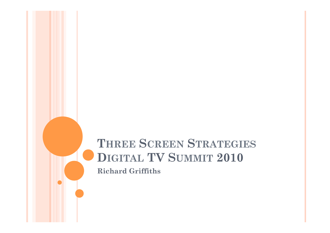# **THREE SCREEN STRATEGIES DIGITAL TV SUMMIT 2010**

**Richard Griffiths**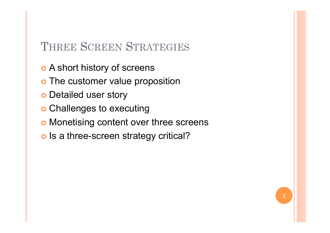## THREE SCREEN STRATEGIES

- **A short history of screens**
- **The customer value proposition**
- ¢ Detailed user story
- ¢ Challenges to executing
- **Monetising content over three screens**
- ¢ Is a three-screen strategy critical?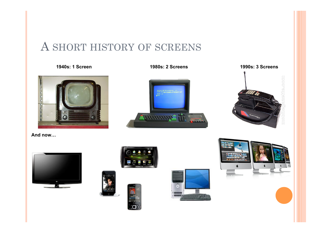## A SHORT HISTORY OF SCREENS



**BARROOM** 

**1940s: 1 Screen 1980s: 2 Screens 1990s: 3 Screens** 

**And now…** 









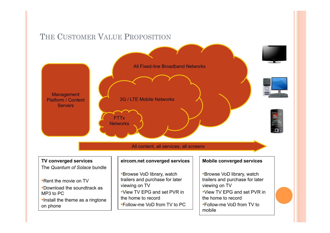#### THE CUSTOMER VALUE PROPOSITION



mobile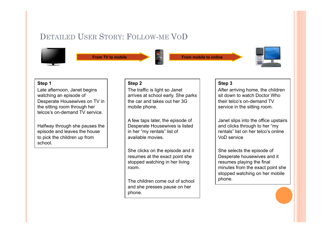### DETAILED USER STORY: FOLLOW-ME VOD



**From TV to mobile From mobile From mobile to online** 



#### **Step 1**

Late afternoon, Janet begins watching an episode of Desperate Housewives on TV in the sitting room through her telcos's on-demand TV service.

Halfway through she pauses the episode and leaves the house to pick the children up from school.

#### **Step 2**

The traffic is light so Janet arrives at school early. She parks the car and takes out her 3G mobile phone.

A few taps later, the episode of Desperate Housewives is listed in her "my rentals" list of available movies.

She clicks on the episode and it resumes at the exact point she stopped watching in her living room.

The children come out of school and she presses pause on her phone.

#### **Step 3**

After arriving home, the children sit down to watch Doctor Who their telco's on-demand TV service in the sitting room.

Janet slips into the office upstairs and clicks through to her "my rentals" list on her telco's online VoD service

She selects the episode of Desperate housewives and it resumes playing the final minutes from the exact point she stopped watching on her mobile phone.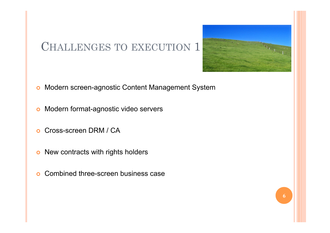

**6** 

## CHALLENGES TO EXECUTION 1

- ¢ Modern screen-agnostic Content Management System
- ¢ Modern format-agnostic video servers
- ¢ Cross-screen DRM / CA
- ¢ New contracts with rights holders
- ¢ Combined three-screen business case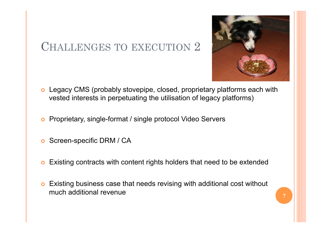# CHALLENGES TO EXECUTION 2



- ¢ Legacy CMS (probably stovepipe, closed, proprietary platforms each with vested interests in perpetuating the utilisation of legacy platforms)
- ¢ Proprietary, single-format / single protocol Video Servers
- ¢ Screen-specific DRM / CA
- ¢ Existing contracts with content rights holders that need to be extended
- ¢ Existing business case that needs revising with additional cost without much additional revenue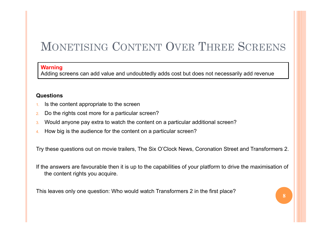## MONETISING CONTENT OVER THREE SCREENS

#### **Warning**

Adding screens can add value and undoubtedly adds cost but does not necessarily add revenue

#### **Questions**

- 1. Is the content appropriate to the screen
- 2. Do the rights cost more for a particular screen?
- 3. Would anyone pay extra to watch the content on a particular additional screen?
- How big is the audience for the content on a particular screen?

Try these questions out on movie trailers, The Six O'Clock News, Coronation Street and Transformers 2.

If the answers are favourable then it is up to the capabilities of your platform to drive the maximisation of the content rights you acquire.

This leaves only one question: Who would watch Transformers 2 in the first place?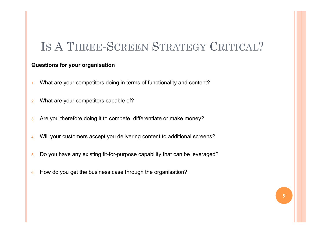## IS A THREE-SCREEN STRATEGY CRITICAL?

#### **Questions for your organisation**

- 1. What are your competitors doing in terms of functionality and content?
- 2. What are your competitors capable of?
- 3. Are you therefore doing it to compete, differentiate or make money?
- 4. Will your customers accept you delivering content to additional screens?
- 5. Do you have any existing fit-for-purpose capability that can be leveraged?
- 6. How do you get the business case through the organisation?